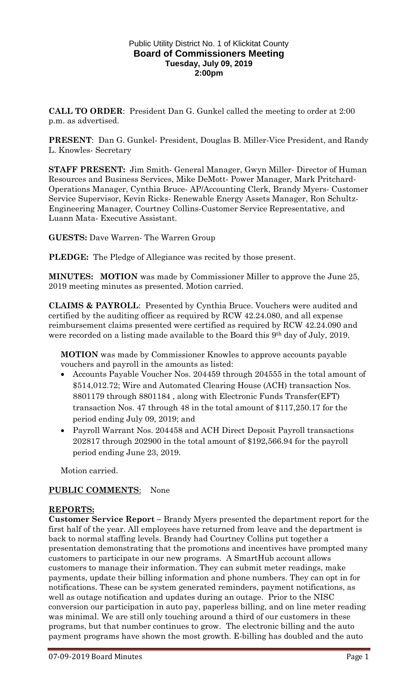## Public Utility District No. 1 of Klickitat County **Board of Commissioners Meeting Tuesday, July 09, 2019 2:00pm**

**CALL TO ORDER**: President Dan G. Gunkel called the meeting to order at 2:00 p.m. as advertised.

**PRESENT**: Dan G. Gunkel- President, Douglas B. Miller-Vice President, and Randy L. Knowles- Secretary

**STAFF PRESENT:** Jim Smith- General Manager, Gwyn Miller- Director of Human Resources and Business Services, Mike DeMott- Power Manager, Mark Pritchard-Operations Manager, Cynthia Bruce- AP/Accounting Clerk, Brandy Myers- Customer Service Supervisor, Kevin Ricks- Renewable Energy Assets Manager, Ron Schultz-Engineering Manager, Courtney Collins-Customer Service Representative, and Luann Mata- Executive Assistant.

**GUESTS:** Dave Warren- The Warren Group

**PLEDGE:** The Pledge of Allegiance was recited by those present.

**MINUTES: MOTION** was made by Commissioner Miller to approve the June 25, 2019 meeting minutes as presented. Motion carried.

**CLAIMS & PAYROLL**: Presented by Cynthia Bruce. Vouchers were audited and certified by the auditing officer as required by RCW 42.24.080, and all expense reimbursement claims presented were certified as required by RCW 42.24.090 and were recorded on a listing made available to the Board this  $9<sup>th</sup>$  day of July, 2019.

**MOTION** was made by Commissioner Knowles to approve accounts payable vouchers and payroll in the amounts as listed:

- Accounts Payable Voucher Nos. 204459 through 204555 in the total amount of \$514,012.72; Wire and Automated Clearing House (ACH) transaction Nos. 8801179 through 8801184 , along with Electronic Funds Transfer(EFT) transaction Nos. 47 through 48 in the total amount of \$117,250.17 for the period ending July 09, 2019; and
- Payroll Warrant Nos. 204458 and ACH Direct Deposit Payroll transactions 202817 through 202900 in the total amount of \$192,566.94 for the payroll period ending June 23, 2019.

Motion carried.

## **PUBLIC COMMENTS**: None

## **REPORTS:**

**Customer Service Report –** Brandy Myers presented the department report for the first half of the year. All employees have returned from leave and the department is back to normal staffing levels. Brandy had Courtney Collins put together a presentation demonstrating that the promotions and incentives have prompted many customers to participate in our new programs. A SmartHub account allows customers to manage their information. They can submit meter readings, make payments, update their billing information and phone numbers. They can opt in for notifications. These can be system generated reminders, payment notifications, as well as outage notification and updates during an outage. Prior to the NISC conversion our participation in auto pay, paperless billing, and on line meter reading was minimal. We are still only touching around a third of our customers in these programs, but that number continues to grow. The electronic billing and the auto payment programs have shown the most growth. E-billing has doubled and the auto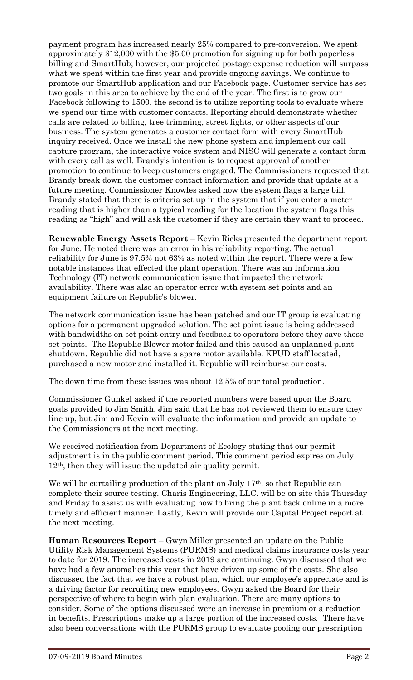payment program has increased nearly 25% compared to pre-conversion. We spent approximately \$12,000 with the \$5.00 promotion for signing up for both paperless billing and SmartHub; however, our projected postage expense reduction will surpass what we spent within the first year and provide ongoing savings. We continue to promote our SmartHub application and our Facebook page. Customer service has set two goals in this area to achieve by the end of the year. The first is to grow our Facebook following to 1500, the second is to utilize reporting tools to evaluate where we spend our time with customer contacts. Reporting should demonstrate whether calls are related to billing, tree trimming, street lights, or other aspects of our business. The system generates a customer contact form with every SmartHub inquiry received. Once we install the new phone system and implement our call capture program, the interactive voice system and NISC will generate a contact form with every call as well. Brandy's intention is to request approval of another promotion to continue to keep customers engaged. The Commissioners requested that Brandy break down the customer contact information and provide that update at a future meeting. Commissioner Knowles asked how the system flags a large bill. Brandy stated that there is criteria set up in the system that if you enter a meter reading that is higher than a typical reading for the location the system flags this reading as "high" and will ask the customer if they are certain they want to proceed.

**Renewable Energy Assets Report** – Kevin Ricks presented the department report for June. He noted there was an error in his reliability reporting. The actual reliability for June is 97.5% not 63% as noted within the report. There were a few notable instances that effected the plant operation. There was an Information Technology (IT) network communication issue that impacted the network availability. There was also an operator error with system set points and an equipment failure on Republic's blower.

The network communication issue has been patched and our IT group is evaluating options for a permanent upgraded solution. The set point issue is being addressed with bandwidths on set point entry and feedback to operators before they save those set points. The Republic Blower motor failed and this caused an unplanned plant shutdown. Republic did not have a spare motor available. KPUD staff located, purchased a new motor and installed it. Republic will reimburse our costs.

The down time from these issues was about 12.5% of our total production.

Commissioner Gunkel asked if the reported numbers were based upon the Board goals provided to Jim Smith. Jim said that he has not reviewed them to ensure they line up, but Jim and Kevin will evaluate the information and provide an update to the Commissioners at the next meeting.

We received notification from Department of Ecology stating that our permit adjustment is in the public comment period. This comment period expires on July 12th, then they will issue the updated air quality permit.

We will be curtailing production of the plant on July 17<sup>th</sup>, so that Republic can complete their source testing. Charis Engineering, LLC. will be on site this Thursday and Friday to assist us with evaluating how to bring the plant back online in a more timely and efficient manner. Lastly, Kevin will provide our Capital Project report at the next meeting.

**Human Resources Report** – Gwyn Miller presented an update on the Public Utility Risk Management Systems (PURMS) and medical claims insurance costs year to date for 2019. The increased costs in 2019 are continuing. Gwyn discussed that we have had a few anomalies this year that have driven up some of the costs. She also discussed the fact that we have a robust plan, which our employee's appreciate and is a driving factor for recruiting new employees. Gwyn asked the Board for their perspective of where to begin with plan evaluation. There are many options to consider. Some of the options discussed were an increase in premium or a reduction in benefits. Prescriptions make up a large portion of the increased costs. There have also been conversations with the PURMS group to evaluate pooling our prescription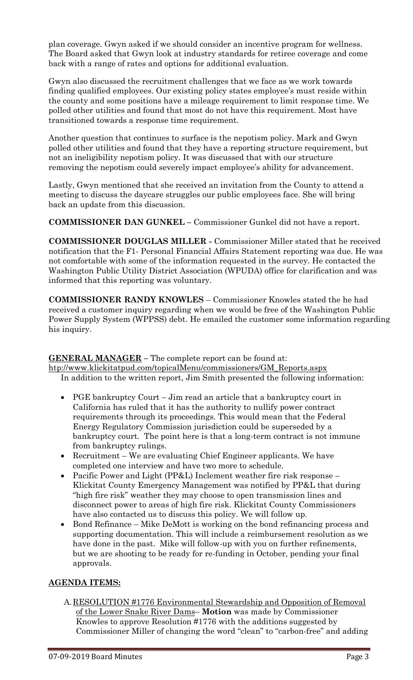plan coverage. Gwyn asked if we should consider an incentive program for wellness. The Board asked that Gwyn look at industry standards for retiree coverage and come back with a range of rates and options for additional evaluation.

Gwyn also discussed the recruitment challenges that we face as we work towards finding qualified employees. Our existing policy states employee's must reside within the county and some positions have a mileage requirement to limit response time. We polled other utilities and found that most do not have this requirement. Most have transitioned towards a response time requirement.

Another question that continues to surface is the nepotism policy. Mark and Gwyn polled other utilities and found that they have a reporting structure requirement, but not an ineligibility nepotism policy. It was discussed that with our structure removing the nepotism could severely impact employee's ability for advancement.

Lastly, Gwyn mentioned that she received an invitation from the County to attend a meeting to discuss the daycare struggles our public employees face. She will bring back an update from this discussion.

**COMMISSIONER DAN GUNKEL –** Commissioner Gunkel did not have a report.

**COMMISSIONER DOUGLAS MILLER -** Commissioner Miller stated that he received notification that the F1- Personal Financial Affairs Statement reporting was due. He was not comfortable with some of the information requested in the survey. He contacted the Washington Public Utility District Association (WPUDA) office for clarification and was informed that this reporting was voluntary.

**COMMISSIONER RANDY KNOWLES** – Commissioner Knowles stated the he had received a customer inquiry regarding when we would be free of the Washington Public Power Supply System (WPPSS) debt. He emailed the customer some information regarding his inquiry.

**GENERAL MANAGER –** The complete report can be found at: [htp://www.klickitatpud.com/topicalMenu/commissioners/GM\\_Reports.aspx](http://www.klickitatpud.com/topicalMenu/commissioners/GM_Reports.aspx) In addition to the written report, Jim Smith presented the following information:

- PGE bankruptcy Court Jim read an article that a bankruptcy court in California has ruled that it has the authority to nullify power contract requirements through its proceedings. This would mean that the Federal Energy Regulatory Commission jurisdiction could be superseded by a bankruptcy court. The point here is that a long-term contract is not immune from bankruptcy rulings.
- Recruitment We are evaluating Chief Engineer applicants. We have completed one interview and have two more to schedule.
- Pacific Power and Light (PP&L) Inclement weather fire risk response Klickitat County Emergency Management was notified by PP&L that during "high fire risk" weather they may choose to open transmission lines and disconnect power to areas of high fire risk. Klickitat County Commissioners have also contacted us to discuss this policy. We will follow up.
- Bond Refinance Mike DeMott is working on the bond refinancing process and supporting documentation. This will include a reimbursement resolution as we have done in the past. Mike will follow-up with you on further refinements, but we are shooting to be ready for re-funding in October, pending your final approvals.

## **AGENDA ITEMS:**

A.RESOLUTION #1776 Environmental Stewardship and Opposition of Removal of the Lower Snake River Dams– **Motion** was made by Commissioner Knowles to approve Resolution #1776 with the additions suggested by Commissioner Miller of changing the word "clean" to "carbon-free" and adding